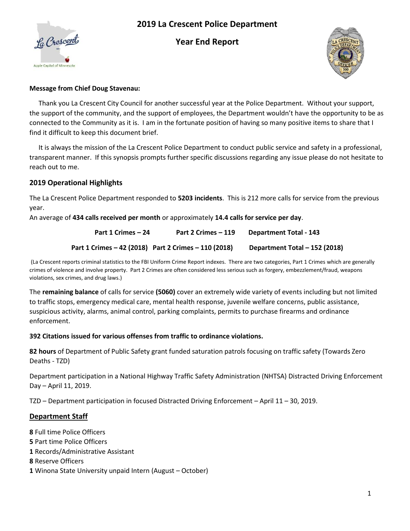

# **2019 La Crescent Police Department**

**Year End Report** 



#### **Message from Chief Doug Stavenau:**

 Thank you La Crescent City Council for another successful year at the Police Department. Without your support, the support of the community, and the support of employees, the Department wouldn't have the opportunity to be as connected to the Community as it is. I am in the fortunate position of having so many positive items to share that I find it difficult to keep this document brief.

 It is always the mission of the La Crescent Police Department to conduct public service and safety in a professional, transparent manner. If this synopsis prompts further specific discussions regarding any issue please do not hesitate to reach out to me.

#### **2019 Operational Highlights**

The La Crescent Police Department responded to **5203 incidents**. This is 212 more calls for service from the previous year.

An average of **434 calls received per month** or approximately **14.4 calls for service per day**.

**Part 1 Crimes – 24 Part 2 Crimes – 119 Department Total - 143 Part 1 Crimes – 42 (2018) Part 2 Crimes – 110 (2018) Department Total – 152 (2018)** 

 (La Crescent reports criminal statistics to the FBI Uniform Crime Report indexes. There are two categories, Part 1 Crimes which are generally crimes of violence and involve property. Part 2 Crimes are often considered less serious such as forgery, embezzlement/fraud, weapons violations, sex crimes, and drug laws.)

The **remaining balance** of calls for service **(5060)** cover an extremely wide variety of events including but not limited to traffic stops, emergency medical care, mental health response, juvenile welfare concerns, public assistance, suspicious activity, alarms, animal control, parking complaints, permits to purchase firearms and ordinance enforcement.

#### **392 Citations issued for various offenses from traffic to ordinance violations.**

**82 hours** of Department of Public Safety grant funded saturation patrols focusing on traffic safety (Towards Zero Deaths - TZD)

Department participation in a National Highway Traffic Safety Administration (NHTSA) Distracted Driving Enforcement Day – April 11, 2019.

TZD – Department participation in focused Distracted Driving Enforcement – April 11 – 30, 2019.

### **Department Staff**

- **8** Full time Police Officers
- **5** Part time Police Officers
- **1** Records/Administrative Assistant
- **8** Reserve Officers
- **1** Winona State University unpaid Intern (August October)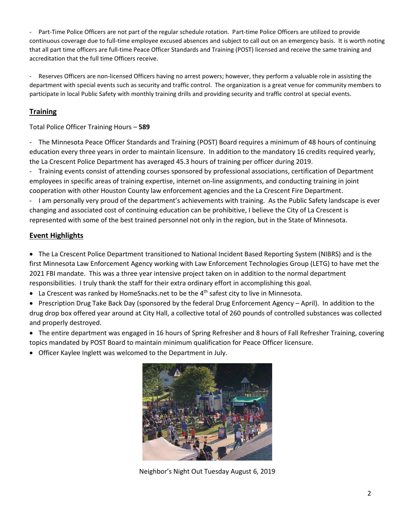- Part-Time Police Officers are not part of the regular schedule rotation. Part-time Police Officers are utilized to provide continuous coverage due to full-time employee excused absences and subject to call out on an emergency basis. It is worth noting that all part time officers are full-time Peace Officer Standards and Training (POST) licensed and receive the same training and accreditation that the full time Officers receive.

- Reserves Officers are non-licensed Officers having no arrest powers; however, they perform a valuable role in assisting the department with special events such as security and traffic control. The organization is a great venue for community members to participate in local Public Safety with monthly training drills and providing security and traffic control at special events.

### **Training**

Total Police Officer Training Hours – **589** 

- The Minnesota Peace Officer Standards and Training (POST) Board requires a minimum of 48 hours of continuing education every three years in order to maintain licensure. In addition to the mandatory 16 credits required yearly, the La Crescent Police Department has averaged 45.3 hours of training per officer during 2019.

- Training events consist of attending courses sponsored by professional associations, certification of Department employees in specific areas of training expertise, internet on-line assignments, and conducting training in joint cooperation with other Houston County law enforcement agencies and the La Crescent Fire Department.

- I am personally very proud of the department's achievements with training. As the Public Safety landscape is ever changing and associated cost of continuing education can be prohibitive, I believe the City of La Crescent is represented with some of the best trained personnel not only in the region, but in the State of Minnesota.

## **Event Highlights**

• The La Crescent Police Department transitioned to National Incident Based Reporting System (NIBRS) and is the first Minnesota Law Enforcement Agency working with Law Enforcement Technologies Group (LETG) to have met the 2021 FBI mandate. This was a three year intensive project taken on in addition to the normal department responsibilities. I truly thank the staff for their extra ordinary effort in accomplishing this goal.

- La Crescent was ranked by HomeSnacks.net to be the  $4<sup>th</sup>$  safest city to live in Minnesota.
- Prescription Drug Take Back Day (sponsored by the federal Drug Enforcement Agency April). In addition to the drug drop box offered year around at City Hall, a collective total of 260 pounds of controlled substances was collected and properly destroyed.
- The entire department was engaged in 16 hours of Spring Refresher and 8 hours of Fall Refresher Training, covering topics mandated by POST Board to maintain minimum qualification for Peace Officer licensure.
- Officer Kaylee Inglett was welcomed to the Department in July.



Neighbor's Night Out Tuesday August 6, 2019